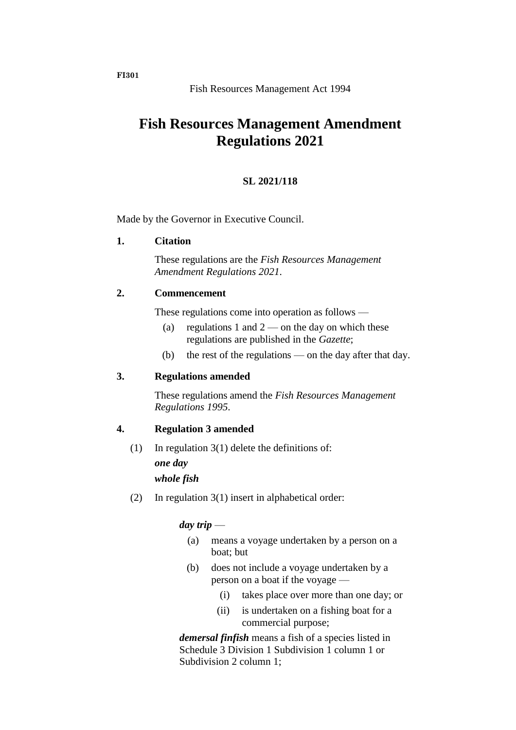# **Fish Resources Management Amendment Regulations 2021**

## **SL 2021/118**

Made by the Governor in Executive Council.

#### **1. Citation**

These regulations are the *Fish Resources Management Amendment Regulations 2021*.

## **2. Commencement**

These regulations come into operation as follows —

- (a) regulations 1 and  $2$  on the day on which these regulations are published in the *Gazette*;
- (b) the rest of the regulations on the day after that day.

## **3. Regulations amended**

These regulations amend the *Fish Resources Management Regulations 1995*.

## **4. Regulation 3 amended**

- (1) In regulation  $3(1)$  delete the definitions of: *one day whole fish*
- (2) In regulation 3(1) insert in alphabetical order:

## *day trip* —

- (a) means a voyage undertaken by a person on a boat; but
- (b) does not include a voyage undertaken by a person on a boat if the voyage —
	- (i) takes place over more than one day; or
	- (ii) is undertaken on a fishing boat for a commercial purpose;

*demersal finfish* means a fish of a species listed in Schedule 3 Division 1 Subdivision 1 column 1 or Subdivision 2 column 1;

**FI301**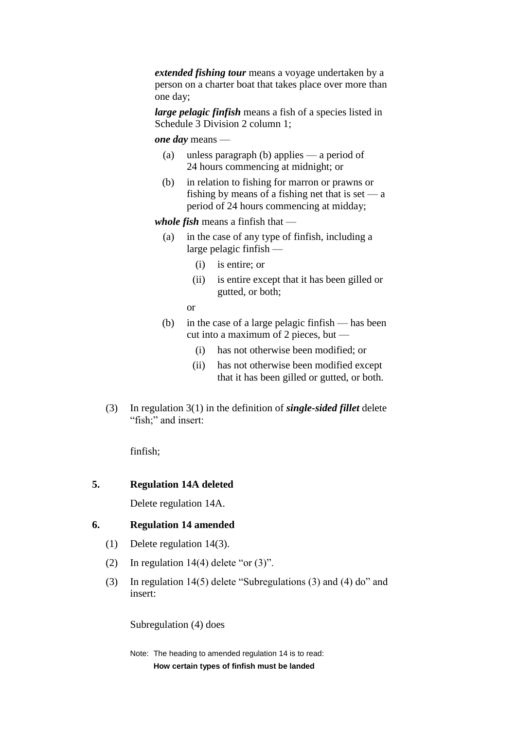*extended fishing tour* means a voyage undertaken by a person on a charter boat that takes place over more than one day;

*large pelagic finfish* means a fish of a species listed in Schedule 3 Division 2 column 1;

*one day* means —

- (a) unless paragraph (b) applies a period of 24 hours commencing at midnight; or
- (b) in relation to fishing for marron or prawns or fishing by means of a fishing net that is set  $-a$ period of 24 hours commencing at midday;

*whole fish* means a finfish that —

- (a) in the case of any type of finfish, including a large pelagic finfish —
	- (i) is entire; or
	- (ii) is entire except that it has been gilled or gutted, or both;

or

- (b) in the case of a large pelagic finfish has been cut into a maximum of 2 pieces, but —
	- (i) has not otherwise been modified; or
	- (ii) has not otherwise been modified except that it has been gilled or gutted, or both.
- (3) In regulation 3(1) in the definition of *single-sided fillet* delete "fish;" and insert:

finfish;

## **5. Regulation 14A deleted**

Delete regulation 14A.

#### **6. Regulation 14 amended**

- (1) Delete regulation 14(3).
- (2) In regulation  $14(4)$  delete "or  $(3)$ ".
- (3) In regulation 14(5) delete "Subregulations (3) and (4) do" and insert:

Subregulation (4) does

Note: The heading to amended regulation 14 is to read: **How certain types of finfish must be landed**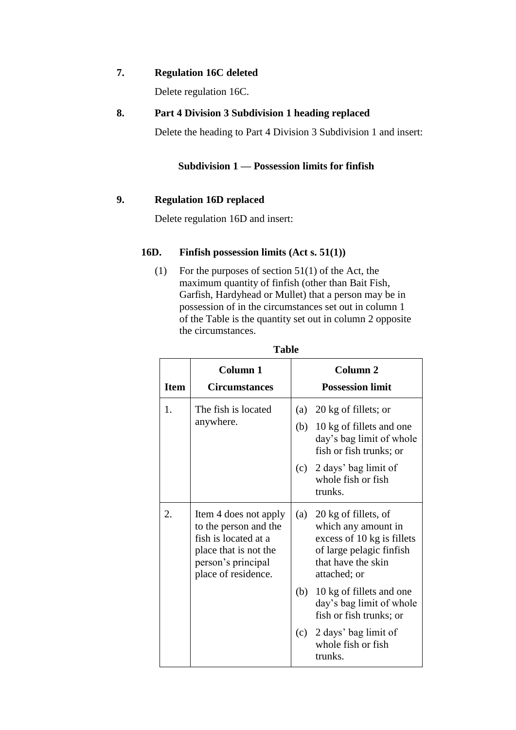## **7. Regulation 16C deleted**

Delete regulation 16C.

## **8. Part 4 Division 3 Subdivision 1 heading replaced**

Delete the heading to Part 4 Division 3 Subdivision 1 and insert:

# **Subdivision 1 — Possession limits for finfish**

# **9. Regulation 16D replaced**

Delete regulation 16D and insert:

## **16D. Finfish possession limits (Act s. 51(1))**

(1) For the purposes of section 51(1) of the Act, the maximum quantity of finfish (other than Bait Fish, Garfish, Hardyhead or Mullet) that a person may be in possession of in the circumstances set out in column 1 of the Table is the quantity set out in column 2 opposite the circumstances.

| <b>Item</b> | <b>Column 1</b><br><b>Circumstances</b>                                                                                                      |     | Column <sub>2</sub><br><b>Possession limit</b>                                                                                              |
|-------------|----------------------------------------------------------------------------------------------------------------------------------------------|-----|---------------------------------------------------------------------------------------------------------------------------------------------|
| $1_{-}$     | The fish is located                                                                                                                          | (a) | 20 kg of fillets; or                                                                                                                        |
|             | anywhere.                                                                                                                                    |     | (b) 10 kg of fillets and one<br>day's bag limit of whole<br>fish or fish trunks; or                                                         |
|             |                                                                                                                                              |     | (c) $2 \text{ days'}$ bag limit of<br>whole fish or fish<br>trunks.                                                                         |
| 2.          | Item 4 does not apply<br>to the person and the<br>fish is located at a<br>place that is not the<br>person's principal<br>place of residence. | (a) | 20 kg of fillets, of<br>which any amount in<br>excess of 10 kg is fillets<br>of large pelagic finfish<br>that have the skin<br>attached; or |
|             |                                                                                                                                              |     | (b) 10 kg of fillets and one<br>day's bag limit of whole<br>fish or fish trunks; or                                                         |
|             |                                                                                                                                              |     | $(c)$ 2 days' bag limit of<br>whole fish or fish<br>trunks.                                                                                 |

**Table**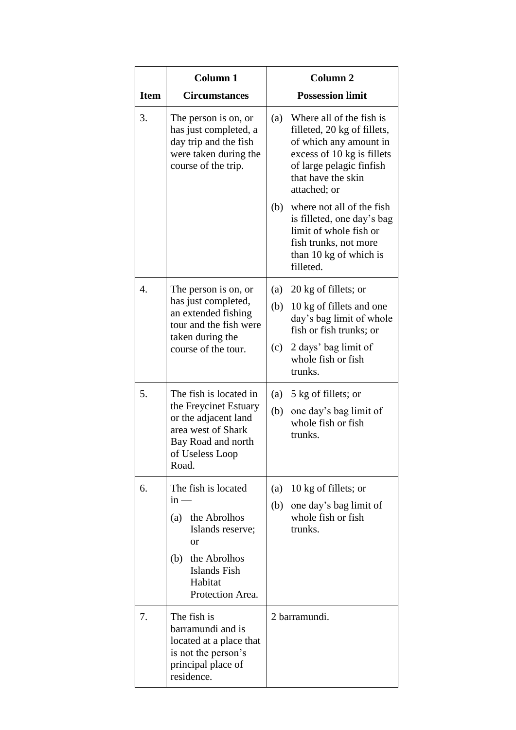|                  | <b>Column 1</b>                                                                                                                                   | Column <sub>2</sub>                                                                                                                                                                      |  |
|------------------|---------------------------------------------------------------------------------------------------------------------------------------------------|------------------------------------------------------------------------------------------------------------------------------------------------------------------------------------------|--|
| <b>Item</b>      | <b>Circumstances</b>                                                                                                                              | <b>Possession limit</b>                                                                                                                                                                  |  |
| 3.               | The person is on, or<br>has just completed, a<br>day trip and the fish<br>were taken during the<br>course of the trip.                            | Where all of the fish is<br>(a)<br>filleted, 20 kg of fillets,<br>of which any amount in<br>excess of 10 kg is fillets<br>of large pelagic finfish<br>that have the skin<br>attached; or |  |
|                  |                                                                                                                                                   | where not all of the fish<br>(b)<br>is filleted, one day's bag<br>limit of whole fish or<br>fish trunks, not more<br>than 10 kg of which is<br>filleted.                                 |  |
| $\overline{4}$ . | The person is on, or<br>has just completed,<br>an extended fishing<br>tour and the fish were<br>taken during the                                  | 20 kg of fillets; or<br>(a)<br>(b)<br>10 kg of fillets and one<br>day's bag limit of whole<br>fish or fish trunks; or                                                                    |  |
|                  | course of the tour.                                                                                                                               | 2 days' bag limit of<br>(c)<br>whole fish or fish<br>trunks.                                                                                                                             |  |
| 5.               | The fish is located in<br>the Freycinet Estuary<br>or the adjacent land<br>area west of Shark<br>Bay Road and north<br>of Useless Loop<br>Road.   | 5 kg of fillets; or<br>(a)<br>(b)<br>one day's bag limit of<br>whole fish or fish<br>trunks.                                                                                             |  |
| 6.               | The fish is located<br>$in -$<br>(a)<br>the Abrolhos<br>Islands reserve;<br>or<br>(b) the Abrolhos<br>Islands Fish<br>Habitat<br>Protection Area. | 10 kg of fillets; or<br>(a)<br>one day's bag limit of<br>(b)<br>whole fish or fish<br>trunks.                                                                                            |  |
| 7.               | The fish is<br>barramundi and is<br>located at a place that<br>is not the person's<br>principal place of<br>residence.                            | 2 barramundi.                                                                                                                                                                            |  |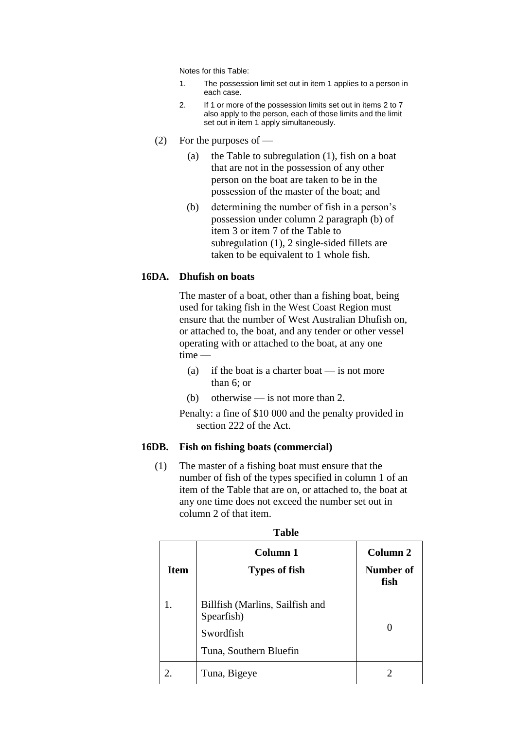Notes for this Table:

- 1. The possession limit set out in item 1 applies to a person in each case.
- 2. If 1 or more of the possession limits set out in items 2 to 7 also apply to the person, each of those limits and the limit set out in item 1 apply simultaneously.
- (2) For the purposes of  $-$ 
	- (a) the Table to subregulation (1), fish on a boat that are not in the possession of any other person on the boat are taken to be in the possession of the master of the boat; and
	- (b) determining the number of fish in a person's possession under column 2 paragraph (b) of item 3 or item 7 of the Table to subregulation (1), 2 single-sided fillets are taken to be equivalent to 1 whole fish.

#### **16DA. Dhufish on boats**

The master of a boat, other than a fishing boat, being used for taking fish in the West Coast Region must ensure that the number of West Australian Dhufish on, or attached to, the boat, and any tender or other vessel operating with or attached to the boat, at any one time —

- (a) if the boat is a charter boat  $-$  is not more than 6; or
- (b) otherwise is not more than 2.

Penalty: a fine of \$10 000 and the penalty provided in section 222 of the Act.

#### **16DB. Fish on fishing boats (commercial)**

(1) The master of a fishing boat must ensure that the number of fish of the types specified in column 1 of an item of the Table that are on, or attached to, the boat at any one time does not exceed the number set out in column 2 of that item.

| <b>Item</b> | Column 1<br><b>Types of fish</b>                                                     | Column 2<br>Number of<br>fish |
|-------------|--------------------------------------------------------------------------------------|-------------------------------|
|             | Billfish (Marlins, Sailfish and<br>Spearfish)<br>Swordfish<br>Tuna, Southern Bluefin |                               |
|             | Tuna, Bigeye                                                                         |                               |

| v<br>×<br>۰.<br>×<br>٧<br>I |  |  |  |
|-----------------------------|--|--|--|
|-----------------------------|--|--|--|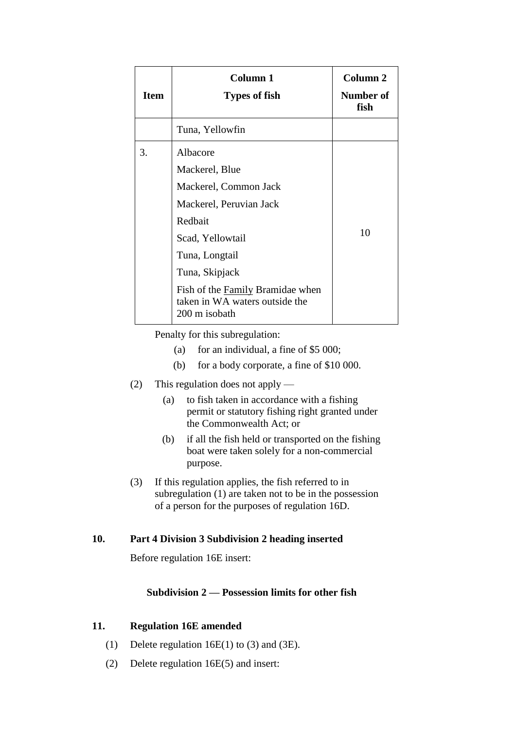| <b>Item</b> | Column 1<br>Types of fish                                                                                                                                                                                                                | Column <sub>2</sub><br>Number of<br>fish |
|-------------|------------------------------------------------------------------------------------------------------------------------------------------------------------------------------------------------------------------------------------------|------------------------------------------|
|             | Tuna, Yellowfin                                                                                                                                                                                                                          |                                          |
| 3.          | Albacore<br>Mackerel, Blue<br>Mackerel, Common Jack<br>Mackerel, Peruvian Jack<br>Redbait<br>Scad, Yellowtail<br>Tuna, Longtail<br>Tuna, Skipjack<br>Fish of the Family Bramidae when<br>taken in WA waters outside the<br>200 m isobath | 10                                       |

Penalty for this subregulation:

- (a) for an individual, a fine of \$5 000;
- (b) for a body corporate, a fine of \$10 000.
- (2) This regulation does not apply
	- (a) to fish taken in accordance with a fishing permit or statutory fishing right granted under the Commonwealth Act; or
	- (b) if all the fish held or transported on the fishing boat were taken solely for a non-commercial purpose.
- (3) If this regulation applies, the fish referred to in subregulation (1) are taken not to be in the possession of a person for the purposes of regulation 16D.

# **10. Part 4 Division 3 Subdivision 2 heading inserted**

Before regulation 16E insert:

## **Subdivision 2 — Possession limits for other fish**

# **11. Regulation 16E amended**

- (1) Delete regulation 16E(1) to (3) and (3E).
- (2) Delete regulation 16E(5) and insert: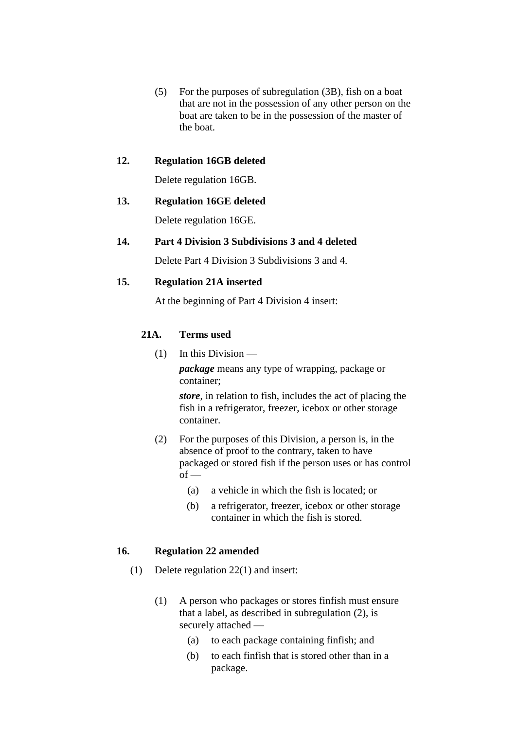(5) For the purposes of subregulation (3B), fish on a boat that are not in the possession of any other person on the boat are taken to be in the possession of the master of the boat.

## **12. Regulation 16GB deleted**

Delete regulation 16GB.

#### **13. Regulation 16GE deleted**

Delete regulation 16GE.

## **14. Part 4 Division 3 Subdivisions 3 and 4 deleted**

Delete Part 4 Division 3 Subdivisions 3 and 4.

## **15. Regulation 21A inserted**

At the beginning of Part 4 Division 4 insert:

## **21A. Terms used**

(1) In this Division —

*package* means any type of wrapping, package or container;

*store*, in relation to fish, includes the act of placing the fish in a refrigerator, freezer, icebox or other storage container.

- (2) For the purposes of this Division, a person is, in the absence of proof to the contrary, taken to have packaged or stored fish if the person uses or has control  $of$  —
	- (a) a vehicle in which the fish is located; or
	- (b) a refrigerator, freezer, icebox or other storage container in which the fish is stored.

#### **16. Regulation 22 amended**

- (1) Delete regulation 22(1) and insert:
	- (1) A person who packages or stores finfish must ensure that a label, as described in subregulation (2), is securely attached —
		- (a) to each package containing finfish; and
		- (b) to each finfish that is stored other than in a package.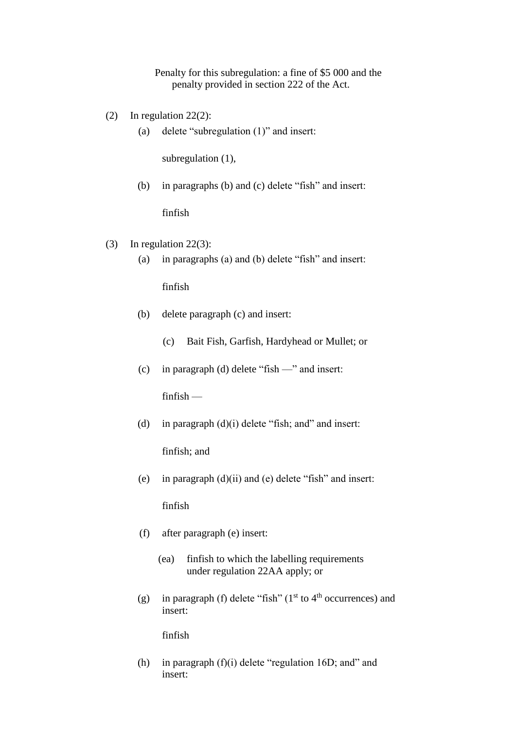Penalty for this subregulation: a fine of \$5 000 and the penalty provided in section 222 of the Act.

- (2) In regulation 22(2):
	- (a) delete "subregulation (1)" and insert:

subregulation (1),

(b) in paragraphs (b) and (c) delete "fish" and insert:

finfish

- (3) In regulation 22(3):
	- (a) in paragraphs (a) and (b) delete "fish" and insert:

finfish

- (b) delete paragraph (c) and insert:
	- (c) Bait Fish, Garfish, Hardyhead or Mullet; or
- (c) in paragraph (d) delete "fish —" and insert:

finfish —

(d) in paragraph  $(d)(i)$  delete "fish; and" and insert:

finfish; and

(e) in paragraph (d)(ii) and (e) delete "fish" and insert:

finfish

- (f) after paragraph (e) insert:
	- (ea) finfish to which the labelling requirements under regulation 22AA apply; or
- (g) in paragraph (f) delete "fish" ( $1<sup>st</sup>$  to  $4<sup>th</sup>$  occurrences) and insert:

finfish

(h) in paragraph  $(f)(i)$  delete "regulation 16D; and" and insert: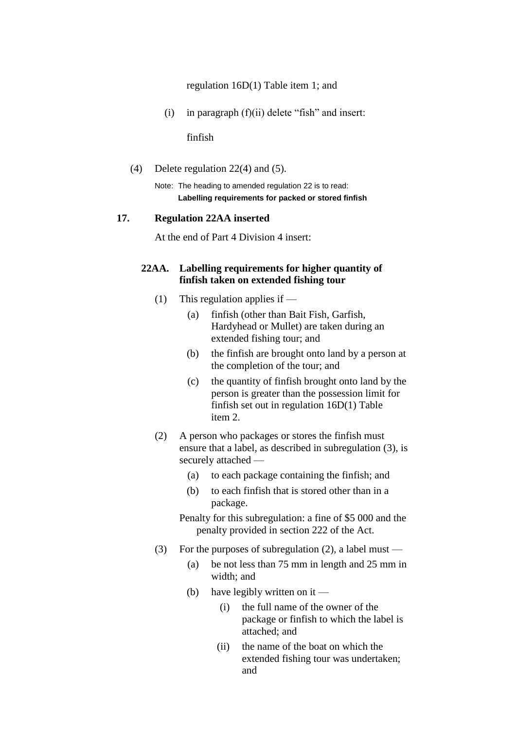regulation 16D(1) Table item 1; and

(i) in paragraph  $(f)(ii)$  delete "fish" and insert:

finfish

(4) Delete regulation 22(4) and (5).

Note: The heading to amended regulation 22 is to read: **Labelling requirements for packed or stored finfish**

#### **17. Regulation 22AA inserted**

At the end of Part 4 Division 4 insert:

## **22AA. Labelling requirements for higher quantity of finfish taken on extended fishing tour**

- (1) This regulation applies if
	- (a) finfish (other than Bait Fish, Garfish, Hardyhead or Mullet) are taken during an extended fishing tour; and
	- (b) the finfish are brought onto land by a person at the completion of the tour; and
	- (c) the quantity of finfish brought onto land by the person is greater than the possession limit for finfish set out in regulation 16D(1) Table item 2.
- (2) A person who packages or stores the finfish must ensure that a label, as described in subregulation (3), is securely attached —
	- (a) to each package containing the finfish; and
	- (b) to each finfish that is stored other than in a package.

Penalty for this subregulation: a fine of \$5 000 and the penalty provided in section 222 of the Act.

- (3) For the purposes of subregulation (2), a label must
	- (a) be not less than 75 mm in length and 25 mm in width; and
	- (b) have legibly written on it
		- (i) the full name of the owner of the package or finfish to which the label is attached; and
		- (ii) the name of the boat on which the extended fishing tour was undertaken; and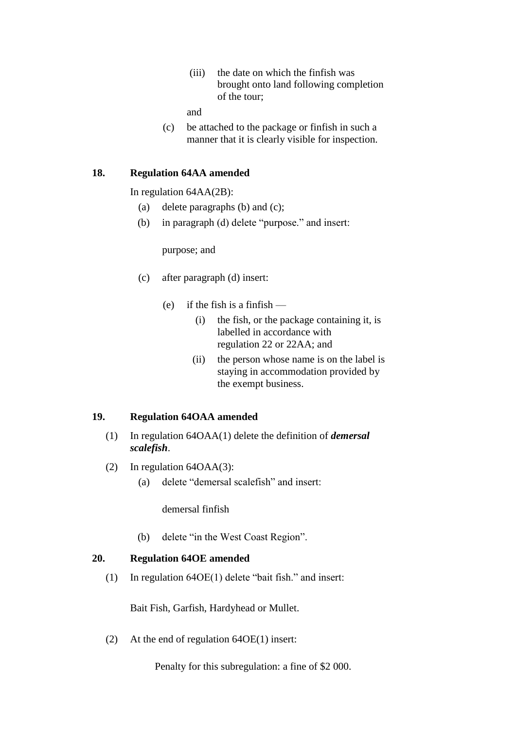(iii) the date on which the finfish was brought onto land following completion of the tour;

and

(c) be attached to the package or finfish in such a manner that it is clearly visible for inspection.

## **18. Regulation 64AA amended**

In regulation 64AA(2B):

- (a) delete paragraphs (b) and (c);
- (b) in paragraph (d) delete "purpose." and insert:

purpose; and

- (c) after paragraph (d) insert:
	- (e) if the fish is a finfish
		- (i) the fish, or the package containing it, is labelled in accordance with regulation 22 or 22AA; and
		- (ii) the person whose name is on the label is staying in accommodation provided by the exempt business.

#### **19. Regulation 64OAA amended**

- (1) In regulation 64OAA(1) delete the definition of *demersal scalefish*.
- (2) In regulation 64OAA(3):
	- (a) delete "demersal scalefish" and insert:

demersal finfish

(b) delete "in the West Coast Region".

## **20. Regulation 64OE amended**

(1) In regulation 64OE(1) delete "bait fish." and insert:

Bait Fish, Garfish, Hardyhead or Mullet.

(2) At the end of regulation 64OE(1) insert:

Penalty for this subregulation: a fine of \$2 000.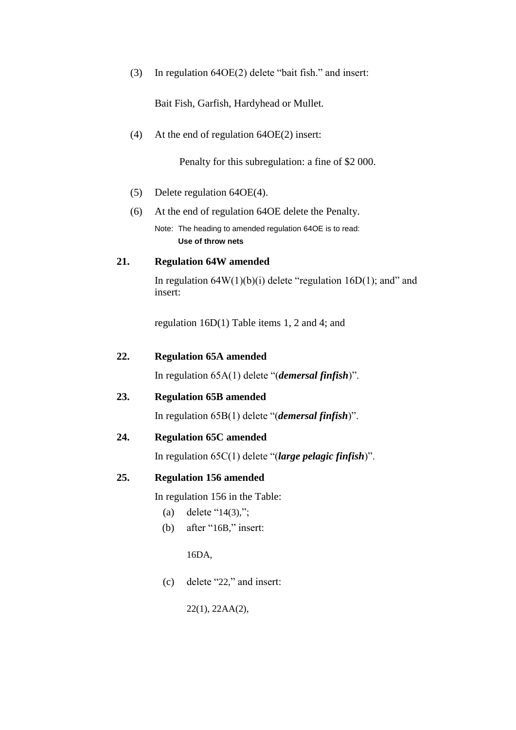(3) In regulation 64OE(2) delete "bait fish." and insert:

Bait Fish, Garfish, Hardyhead or Mullet.

(4) At the end of regulation 64OE(2) insert:

Penalty for this subregulation: a fine of \$2 000.

- (5) Delete regulation 64OE(4).
- (6) At the end of regulation 64OE delete the Penalty.

Note: The heading to amended regulation 64OE is to read: **Use of throw nets**

## **21. Regulation 64W amended**

In regulation  $64W(1)(b)(i)$  delete "regulation  $16D(1)$ ; and" and insert:

regulation 16D(1) Table items 1, 2 and 4; and

| 22. | <b>Regulation 65A amended</b> |
|-----|-------------------------------|
|     |                               |

In regulation 65A(1) delete "(*demersal finfish*)".

# **23. Regulation 65B amended**

In regulation 65B(1) delete "(*demersal finfish*)".

## **24. Regulation 65C amended**

In regulation 65C(1) delete "(*large pelagic finfish*)".

## **25. Regulation 156 amended**

In regulation 156 in the Table:

- (a) delete " $14(3)$ ,";
- (b) after "16B," insert:

16DA,

(c) delete "22," and insert:

22(1), 22AA(2),